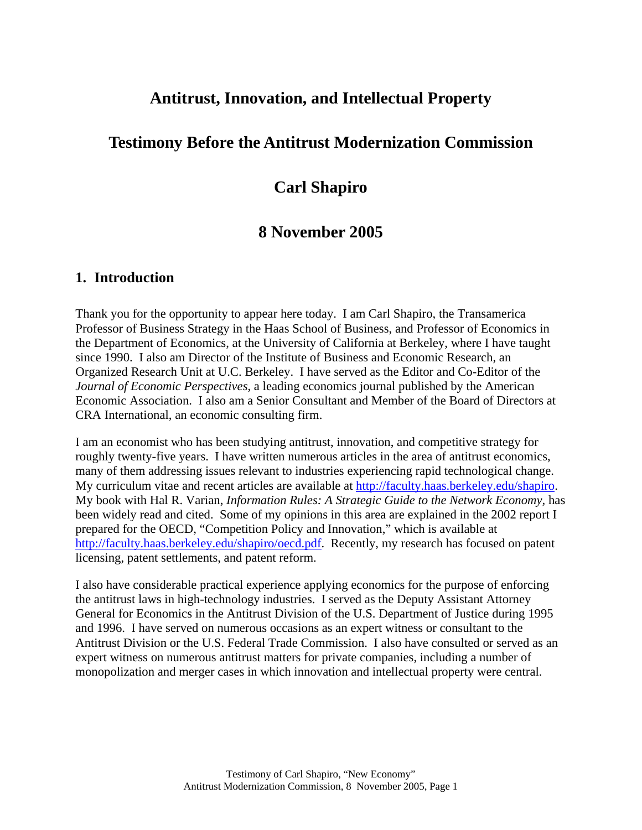# **Antitrust, Innovation, and Intellectual Property**

# **Testimony Before the Antitrust Modernization Commission**

# **Carl Shapiro**

## **8 November 2005**

#### **1. Introduction**

Thank you for the opportunity to appear here today. I am Carl Shapiro, the Transamerica Professor of Business Strategy in the Haas School of Business, and Professor of Economics in the Department of Economics, at the University of California at Berkeley, where I have taught since 1990. I also am Director of the Institute of Business and Economic Research, an Organized Research Unit at U.C. Berkeley. I have served as the Editor and Co-Editor of the *Journal of Economic Perspectives*, a leading economics journal published by the American Economic Association. I also am a Senior Consultant and Member of the Board of Directors at CRA International, an economic consulting firm.

I am an economist who has been studying antitrust, innovation, and competitive strategy for roughly twenty-five years. I have written numerous articles in the area of antitrust economics, many of them addressing issues relevant to industries experiencing rapid technological change. My curriculum vitae and recent articles are available at http://faculty.haas.berkeley.edu/shapiro. My book with Hal R. Varian, *Information Rules: A Strategic Guide to the Network Economy,* has been widely read and cited. Some of my opinions in this area are explained in the 2002 report I prepared for the OECD, "Competition Policy and Innovation," which is available at http://faculty.haas.berkeley.edu/shapiro/oecd.pdf. Recently, my research has focused on patent licensing, patent settlements, and patent reform.

I also have considerable practical experience applying economics for the purpose of enforcing the antitrust laws in high-technology industries. I served as the Deputy Assistant Attorney General for Economics in the Antitrust Division of the U.S. Department of Justice during 1995 and 1996. I have served on numerous occasions as an expert witness or consultant to the Antitrust Division or the U.S. Federal Trade Commission. I also have consulted or served as an expert witness on numerous antitrust matters for private companies, including a number of monopolization and merger cases in which innovation and intellectual property were central.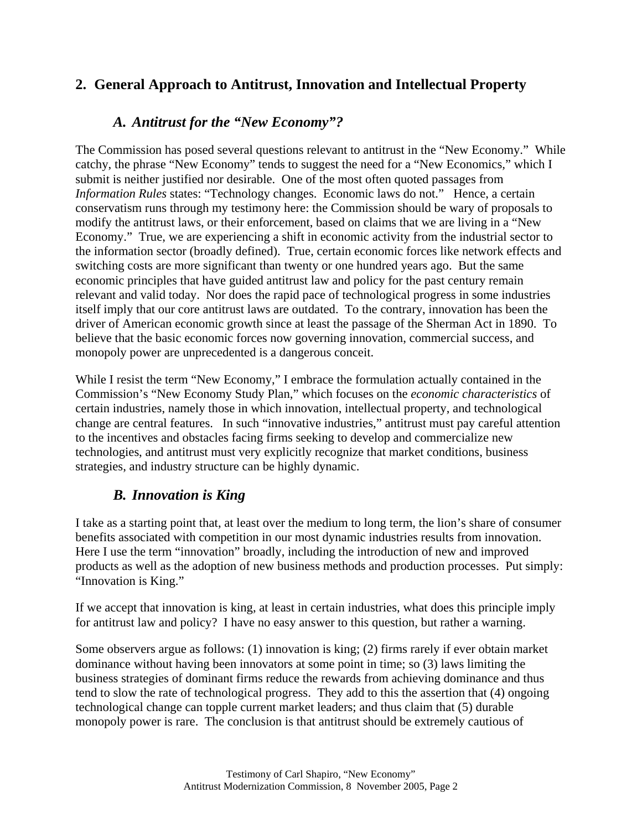### **2. General Approach to Antitrust, Innovation and Intellectual Property**

### *A. Antitrust for the "New Economy"?*

The Commission has posed several questions relevant to antitrust in the "New Economy." While catchy, the phrase "New Economy" tends to suggest the need for a "New Economics*,*" which I submit is neither justified nor desirable. One of the most often quoted passages from *Information Rules* states: "Technology changes. Economic laws do not." Hence, a certain conservatism runs through my testimony here: the Commission should be wary of proposals to modify the antitrust laws, or their enforcement, based on claims that we are living in a "New Economy." True, we are experiencing a shift in economic activity from the industrial sector to the information sector (broadly defined). True, certain economic forces like network effects and switching costs are more significant than twenty or one hundred years ago. But the same economic principles that have guided antitrust law and policy for the past century remain relevant and valid today. Nor does the rapid pace of technological progress in some industries itself imply that our core antitrust laws are outdated. To the contrary, innovation has been the driver of American economic growth since at least the passage of the Sherman Act in 1890. To believe that the basic economic forces now governing innovation, commercial success, and monopoly power are unprecedented is a dangerous conceit.

While I resist the term "New Economy," I embrace the formulation actually contained in the Commission's "New Economy Study Plan," which focuses on the *economic characteristics* of certain industries, namely those in which innovation, intellectual property, and technological change are central features. In such "innovative industries," antitrust must pay careful attention to the incentives and obstacles facing firms seeking to develop and commercialize new technologies, and antitrust must very explicitly recognize that market conditions, business strategies, and industry structure can be highly dynamic.

### *B. Innovation is King*

I take as a starting point that, at least over the medium to long term, the lion's share of consumer benefits associated with competition in our most dynamic industries results from innovation. Here I use the term "innovation" broadly, including the introduction of new and improved products as well as the adoption of new business methods and production processes. Put simply: "Innovation is King."

If we accept that innovation is king, at least in certain industries, what does this principle imply for antitrust law and policy? I have no easy answer to this question, but rather a warning.

Some observers argue as follows: (1) innovation is king; (2) firms rarely if ever obtain market dominance without having been innovators at some point in time; so (3) laws limiting the business strategies of dominant firms reduce the rewards from achieving dominance and thus tend to slow the rate of technological progress. They add to this the assertion that (4) ongoing technological change can topple current market leaders; and thus claim that (5) durable monopoly power is rare. The conclusion is that antitrust should be extremely cautious of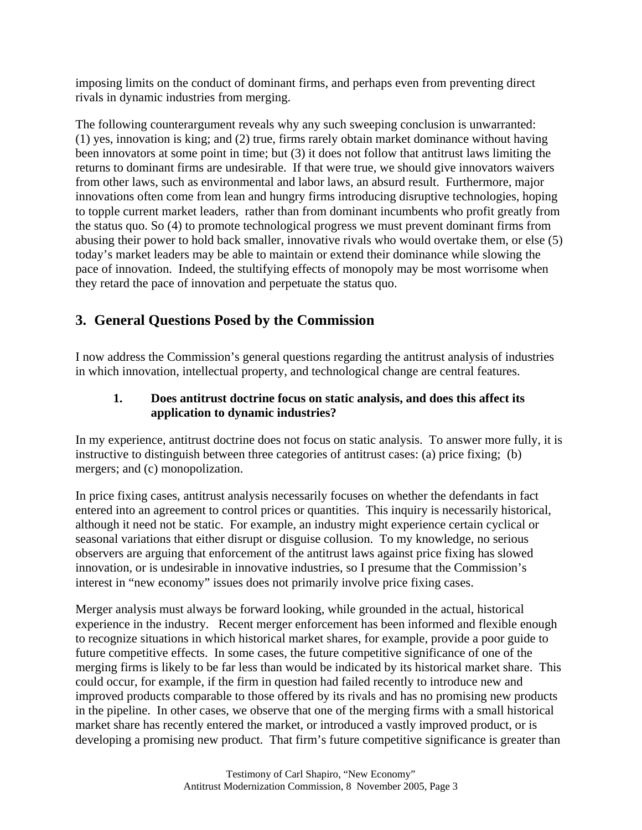imposing limits on the conduct of dominant firms, and perhaps even from preventing direct rivals in dynamic industries from merging.

The following counterargument reveals why any such sweeping conclusion is unwarranted: (1) yes, innovation is king; and (2) true, firms rarely obtain market dominance without having been innovators at some point in time; but (3) it does not follow that antitrust laws limiting the returns to dominant firms are undesirable. If that were true, we should give innovators waivers from other laws, such as environmental and labor laws, an absurd result. Furthermore, major innovations often come from lean and hungry firms introducing disruptive technologies, hoping to topple current market leaders, rather than from dominant incumbents who profit greatly from the status quo. So (4) to promote technological progress we must prevent dominant firms from abusing their power to hold back smaller, innovative rivals who would overtake them, or else (5) today's market leaders may be able to maintain or extend their dominance while slowing the pace of innovation. Indeed, the stultifying effects of monopoly may be most worrisome when they retard the pace of innovation and perpetuate the status quo.

### **3. General Questions Posed by the Commission**

I now address the Commission's general questions regarding the antitrust analysis of industries in which innovation, intellectual property, and technological change are central features.

#### **1. Does antitrust doctrine focus on static analysis, and does this affect its application to dynamic industries?**

In my experience, antitrust doctrine does not focus on static analysis. To answer more fully, it is instructive to distinguish between three categories of antitrust cases: (a) price fixing; (b) mergers; and (c) monopolization.

In price fixing cases, antitrust analysis necessarily focuses on whether the defendants in fact entered into an agreement to control prices or quantities. This inquiry is necessarily historical, although it need not be static. For example, an industry might experience certain cyclical or seasonal variations that either disrupt or disguise collusion. To my knowledge, no serious observers are arguing that enforcement of the antitrust laws against price fixing has slowed innovation, or is undesirable in innovative industries, so I presume that the Commission's interest in "new economy" issues does not primarily involve price fixing cases.

Merger analysis must always be forward looking, while grounded in the actual, historical experience in the industry. Recent merger enforcement has been informed and flexible enough to recognize situations in which historical market shares, for example, provide a poor guide to future competitive effects. In some cases, the future competitive significance of one of the merging firms is likely to be far less than would be indicated by its historical market share. This could occur, for example, if the firm in question had failed recently to introduce new and improved products comparable to those offered by its rivals and has no promising new products in the pipeline. In other cases, we observe that one of the merging firms with a small historical market share has recently entered the market, or introduced a vastly improved product, or is developing a promising new product. That firm's future competitive significance is greater than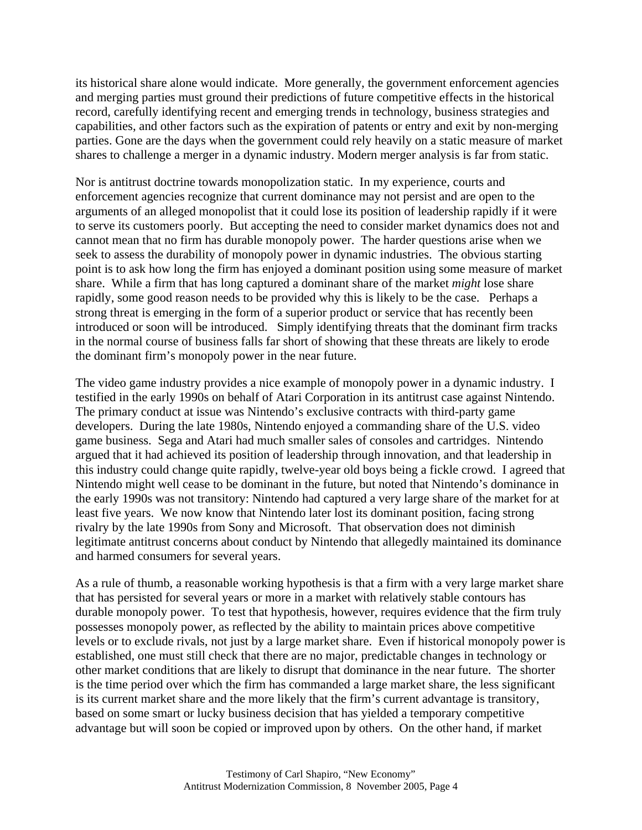its historical share alone would indicate. More generally, the government enforcement agencies and merging parties must ground their predictions of future competitive effects in the historical record, carefully identifying recent and emerging trends in technology, business strategies and capabilities, and other factors such as the expiration of patents or entry and exit by non-merging parties. Gone are the days when the government could rely heavily on a static measure of market shares to challenge a merger in a dynamic industry. Modern merger analysis is far from static.

Nor is antitrust doctrine towards monopolization static. In my experience, courts and enforcement agencies recognize that current dominance may not persist and are open to the arguments of an alleged monopolist that it could lose its position of leadership rapidly if it were to serve its customers poorly. But accepting the need to consider market dynamics does not and cannot mean that no firm has durable monopoly power. The harder questions arise when we seek to assess the durability of monopoly power in dynamic industries. The obvious starting point is to ask how long the firm has enjoyed a dominant position using some measure of market share. While a firm that has long captured a dominant share of the market *might* lose share rapidly, some good reason needs to be provided why this is likely to be the case. Perhaps a strong threat is emerging in the form of a superior product or service that has recently been introduced or soon will be introduced. Simply identifying threats that the dominant firm tracks in the normal course of business falls far short of showing that these threats are likely to erode the dominant firm's monopoly power in the near future.

The video game industry provides a nice example of monopoly power in a dynamic industry. I testified in the early 1990s on behalf of Atari Corporation in its antitrust case against Nintendo. The primary conduct at issue was Nintendo's exclusive contracts with third-party game developers. During the late 1980s, Nintendo enjoyed a commanding share of the U.S. video game business. Sega and Atari had much smaller sales of consoles and cartridges. Nintendo argued that it had achieved its position of leadership through innovation, and that leadership in this industry could change quite rapidly, twelve-year old boys being a fickle crowd. I agreed that Nintendo might well cease to be dominant in the future, but noted that Nintendo's dominance in the early 1990s was not transitory: Nintendo had captured a very large share of the market for at least five years. We now know that Nintendo later lost its dominant position, facing strong rivalry by the late 1990s from Sony and Microsoft. That observation does not diminish legitimate antitrust concerns about conduct by Nintendo that allegedly maintained its dominance and harmed consumers for several years.

As a rule of thumb, a reasonable working hypothesis is that a firm with a very large market share that has persisted for several years or more in a market with relatively stable contours has durable monopoly power. To test that hypothesis, however, requires evidence that the firm truly possesses monopoly power, as reflected by the ability to maintain prices above competitive levels or to exclude rivals, not just by a large market share. Even if historical monopoly power is established, one must still check that there are no major, predictable changes in technology or other market conditions that are likely to disrupt that dominance in the near future. The shorter is the time period over which the firm has commanded a large market share, the less significant is its current market share and the more likely that the firm's current advantage is transitory, based on some smart or lucky business decision that has yielded a temporary competitive advantage but will soon be copied or improved upon by others. On the other hand, if market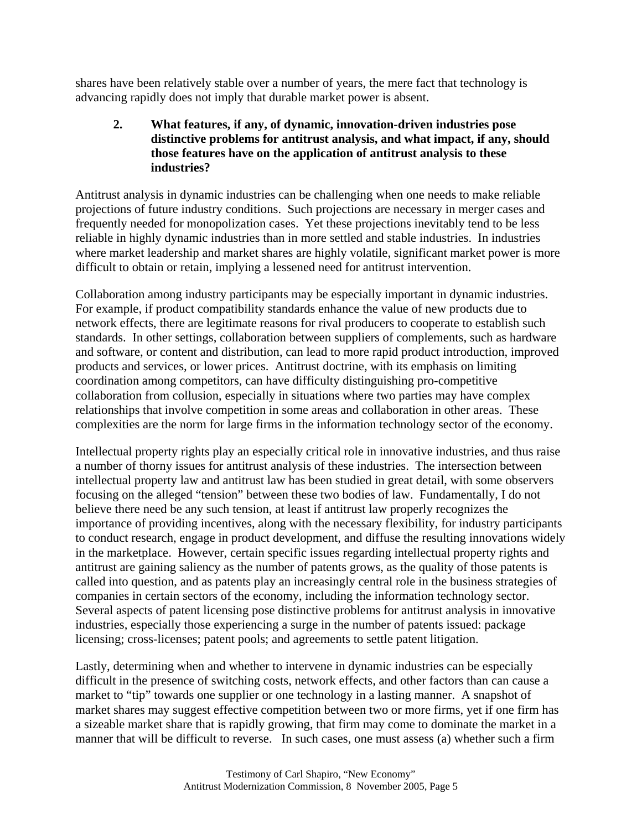shares have been relatively stable over a number of years, the mere fact that technology is advancing rapidly does not imply that durable market power is absent.

#### **2. What features, if any, of dynamic, innovation-driven industries pose distinctive problems for antitrust analysis, and what impact, if any, should those features have on the application of antitrust analysis to these industries?**

Antitrust analysis in dynamic industries can be challenging when one needs to make reliable projections of future industry conditions. Such projections are necessary in merger cases and frequently needed for monopolization cases. Yet these projections inevitably tend to be less reliable in highly dynamic industries than in more settled and stable industries. In industries where market leadership and market shares are highly volatile, significant market power is more difficult to obtain or retain, implying a lessened need for antitrust intervention.

Collaboration among industry participants may be especially important in dynamic industries. For example, if product compatibility standards enhance the value of new products due to network effects, there are legitimate reasons for rival producers to cooperate to establish such standards. In other settings, collaboration between suppliers of complements, such as hardware and software, or content and distribution, can lead to more rapid product introduction, improved products and services, or lower prices. Antitrust doctrine, with its emphasis on limiting coordination among competitors, can have difficulty distinguishing pro-competitive collaboration from collusion, especially in situations where two parties may have complex relationships that involve competition in some areas and collaboration in other areas. These complexities are the norm for large firms in the information technology sector of the economy.

Intellectual property rights play an especially critical role in innovative industries, and thus raise a number of thorny issues for antitrust analysis of these industries. The intersection between intellectual property law and antitrust law has been studied in great detail, with some observers focusing on the alleged "tension" between these two bodies of law. Fundamentally, I do not believe there need be any such tension, at least if antitrust law properly recognizes the importance of providing incentives, along with the necessary flexibility, for industry participants to conduct research, engage in product development, and diffuse the resulting innovations widely in the marketplace. However, certain specific issues regarding intellectual property rights and antitrust are gaining saliency as the number of patents grows, as the quality of those patents is called into question, and as patents play an increasingly central role in the business strategies of companies in certain sectors of the economy, including the information technology sector. Several aspects of patent licensing pose distinctive problems for antitrust analysis in innovative industries, especially those experiencing a surge in the number of patents issued: package licensing; cross-licenses; patent pools; and agreements to settle patent litigation.

Lastly, determining when and whether to intervene in dynamic industries can be especially difficult in the presence of switching costs, network effects, and other factors than can cause a market to "tip" towards one supplier or one technology in a lasting manner. A snapshot of market shares may suggest effective competition between two or more firms, yet if one firm has a sizeable market share that is rapidly growing, that firm may come to dominate the market in a manner that will be difficult to reverse. In such cases, one must assess (a) whether such a firm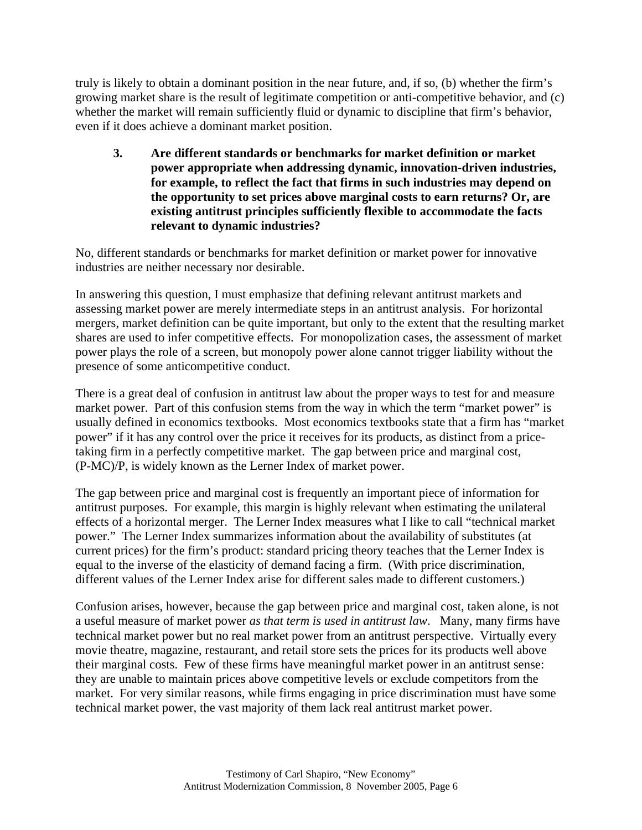truly is likely to obtain a dominant position in the near future, and, if so, (b) whether the firm's growing market share is the result of legitimate competition or anti-competitive behavior, and (c) whether the market will remain sufficiently fluid or dynamic to discipline that firm's behavior, even if it does achieve a dominant market position.

**3. Are different standards or benchmarks for market definition or market power appropriate when addressing dynamic, innovation-driven industries, for example, to reflect the fact that firms in such industries may depend on the opportunity to set prices above marginal costs to earn returns? Or, are existing antitrust principles sufficiently flexible to accommodate the facts relevant to dynamic industries?** 

No, different standards or benchmarks for market definition or market power for innovative industries are neither necessary nor desirable.

In answering this question, I must emphasize that defining relevant antitrust markets and assessing market power are merely intermediate steps in an antitrust analysis. For horizontal mergers, market definition can be quite important, but only to the extent that the resulting market shares are used to infer competitive effects. For monopolization cases, the assessment of market power plays the role of a screen, but monopoly power alone cannot trigger liability without the presence of some anticompetitive conduct.

There is a great deal of confusion in antitrust law about the proper ways to test for and measure market power. Part of this confusion stems from the way in which the term "market power" is usually defined in economics textbooks. Most economics textbooks state that a firm has "market power" if it has any control over the price it receives for its products, as distinct from a pricetaking firm in a perfectly competitive market. The gap between price and marginal cost, (P-MC)/P, is widely known as the Lerner Index of market power.

The gap between price and marginal cost is frequently an important piece of information for antitrust purposes. For example, this margin is highly relevant when estimating the unilateral effects of a horizontal merger. The Lerner Index measures what I like to call "technical market power." The Lerner Index summarizes information about the availability of substitutes (at current prices) for the firm's product: standard pricing theory teaches that the Lerner Index is equal to the inverse of the elasticity of demand facing a firm. (With price discrimination, different values of the Lerner Index arise for different sales made to different customers.)

Confusion arises, however, because the gap between price and marginal cost, taken alone, is not a useful measure of market power *as that term is used in antitrust law*. Many, many firms have technical market power but no real market power from an antitrust perspective. Virtually every movie theatre, magazine, restaurant, and retail store sets the prices for its products well above their marginal costs. Few of these firms have meaningful market power in an antitrust sense: they are unable to maintain prices above competitive levels or exclude competitors from the market. For very similar reasons, while firms engaging in price discrimination must have some technical market power, the vast majority of them lack real antitrust market power.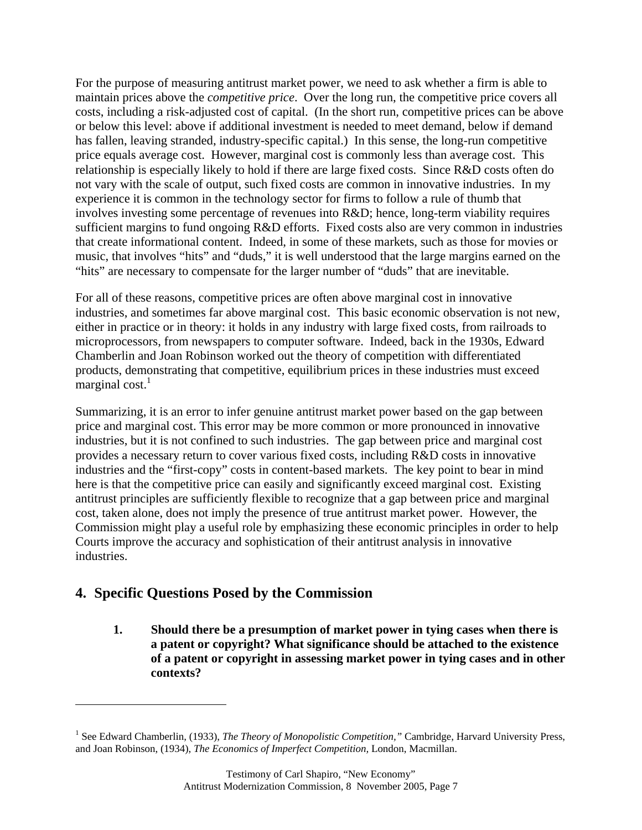For the purpose of measuring antitrust market power, we need to ask whether a firm is able to maintain prices above the *competitive price*. Over the long run, the competitive price covers all costs, including a risk-adjusted cost of capital. (In the short run, competitive prices can be above or below this level: above if additional investment is needed to meet demand, below if demand has fallen, leaving stranded, industry-specific capital.) In this sense, the long-run competitive price equals average cost. However, marginal cost is commonly less than average cost. This relationship is especially likely to hold if there are large fixed costs. Since R&D costs often do not vary with the scale of output, such fixed costs are common in innovative industries. In my experience it is common in the technology sector for firms to follow a rule of thumb that involves investing some percentage of revenues into R&D; hence, long-term viability requires sufficient margins to fund ongoing R&D efforts. Fixed costs also are very common in industries that create informational content. Indeed, in some of these markets, such as those for movies or music, that involves "hits" and "duds," it is well understood that the large margins earned on the "hits" are necessary to compensate for the larger number of "duds" that are inevitable.

For all of these reasons, competitive prices are often above marginal cost in innovative industries, and sometimes far above marginal cost. This basic economic observation is not new, either in practice or in theory: it holds in any industry with large fixed costs, from railroads to microprocessors, from newspapers to computer software. Indeed, back in the 1930s, Edward Chamberlin and Joan Robinson worked out the theory of competition with differentiated products, demonstrating that competitive, equilibrium prices in these industries must exceed marginal cost. $1$ 

Summarizing, it is an error to infer genuine antitrust market power based on the gap between price and marginal cost. This error may be more common or more pronounced in innovative industries, but it is not confined to such industries. The gap between price and marginal cost provides a necessary return to cover various fixed costs, including R&D costs in innovative industries and the "first-copy" costs in content-based markets. The key point to bear in mind here is that the competitive price can easily and significantly exceed marginal cost. Existing antitrust principles are sufficiently flexible to recognize that a gap between price and marginal cost, taken alone, does not imply the presence of true antitrust market power. However, the Commission might play a useful role by emphasizing these economic principles in order to help Courts improve the accuracy and sophistication of their antitrust analysis in innovative industries.

### **4. Specific Questions Posed by the Commission**

 $\overline{a}$ 

**1. Should there be a presumption of market power in tying cases when there is a patent or copyright? What significance should be attached to the existence of a patent or copyright in assessing market power in tying cases and in other contexts?** 

<sup>&</sup>lt;sup>1</sup> See Edward Chamberlin, (1933), *The Theory of Monopolistic Competition*," Cambridge, Harvard University Press, and Joan Robinson, (1934), *The Economics of Imperfect Competition,* London, Macmillan.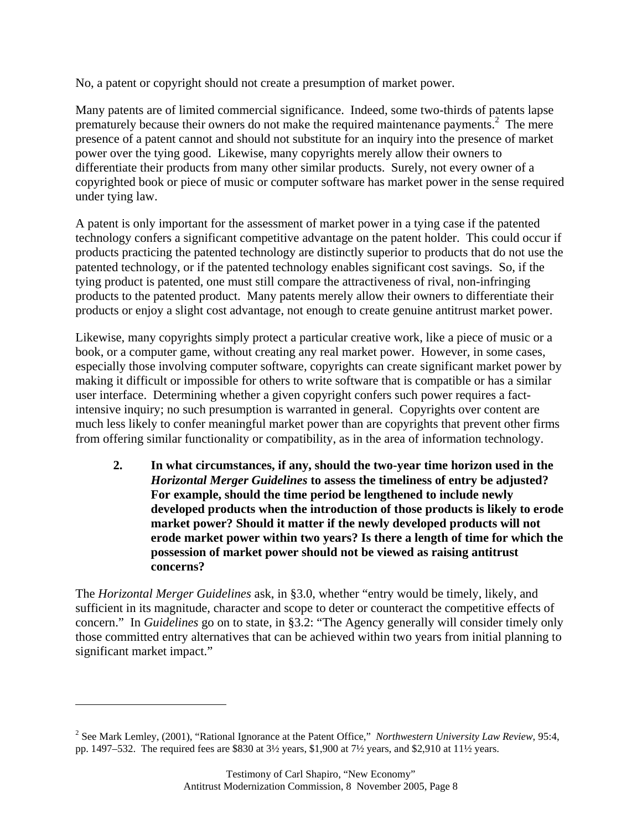No, a patent or copyright should not create a presumption of market power.

Many patents are of limited commercial significance. Indeed, some two-thirds of patents lapse prematurely because their owners do not make the required maintenance payments.<sup>2</sup> The mere presence of a patent cannot and should not substitute for an inquiry into the presence of market power over the tying good. Likewise, many copyrights merely allow their owners to differentiate their products from many other similar products. Surely, not every owner of a copyrighted book or piece of music or computer software has market power in the sense required under tying law.

A patent is only important for the assessment of market power in a tying case if the patented technology confers a significant competitive advantage on the patent holder. This could occur if products practicing the patented technology are distinctly superior to products that do not use the patented technology, or if the patented technology enables significant cost savings. So, if the tying product is patented, one must still compare the attractiveness of rival, non-infringing products to the patented product. Many patents merely allow their owners to differentiate their products or enjoy a slight cost advantage, not enough to create genuine antitrust market power.

Likewise, many copyrights simply protect a particular creative work, like a piece of music or a book, or a computer game, without creating any real market power. However, in some cases, especially those involving computer software, copyrights can create significant market power by making it difficult or impossible for others to write software that is compatible or has a similar user interface. Determining whether a given copyright confers such power requires a factintensive inquiry; no such presumption is warranted in general. Copyrights over content are much less likely to confer meaningful market power than are copyrights that prevent other firms from offering similar functionality or compatibility, as in the area of information technology.

**2. In what circumstances, if any, should the two-year time horizon used in the**  *Horizontal Merger Guidelines* **to assess the timeliness of entry be adjusted? For example, should the time period be lengthened to include newly developed products when the introduction of those products is likely to erode market power? Should it matter if the newly developed products will not erode market power within two years? Is there a length of time for which the possession of market power should not be viewed as raising antitrust concerns?** 

The *Horizontal Merger Guidelines* ask, in §3.0, whether "entry would be timely, likely, and sufficient in its magnitude, character and scope to deter or counteract the competitive effects of concern." In *Guidelines* go on to state, in §3.2: "The Agency generally will consider timely only those committed entry alternatives that can be achieved within two years from initial planning to significant market impact."

 $\overline{a}$ 

<sup>2</sup> See Mark Lemley, (2001), "Rational Ignorance at the Patent Office," *Northwestern University Law Review*, 95:4, pp. 1497–532. The required fees are \$830 at 3½ years, \$1,900 at 7½ years, and \$2,910 at 11½ years.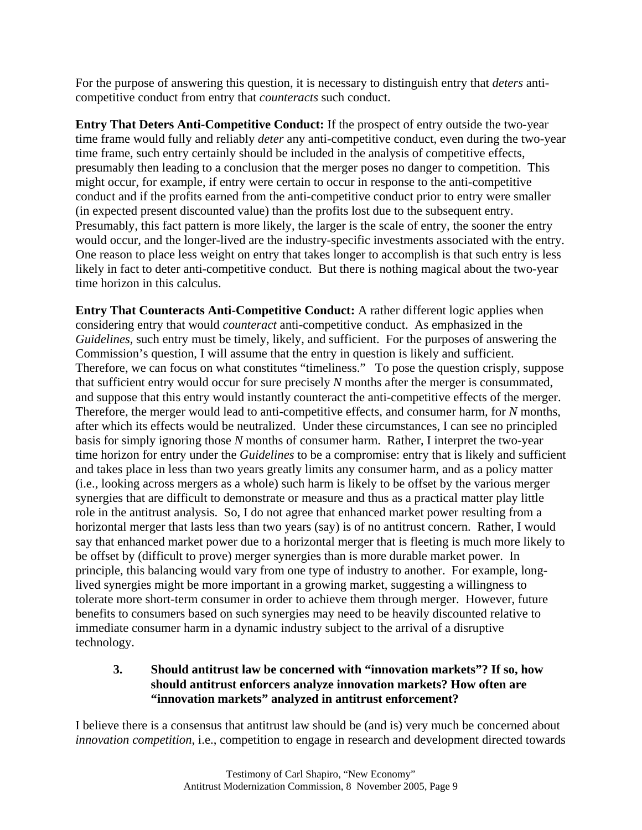For the purpose of answering this question, it is necessary to distinguish entry that *deters* anticompetitive conduct from entry that *counteracts* such conduct.

**Entry That Deters Anti-Competitive Conduct:** If the prospect of entry outside the two-year time frame would fully and reliably *deter* any anti-competitive conduct, even during the two-year time frame, such entry certainly should be included in the analysis of competitive effects, presumably then leading to a conclusion that the merger poses no danger to competition. This might occur, for example, if entry were certain to occur in response to the anti-competitive conduct and if the profits earned from the anti-competitive conduct prior to entry were smaller (in expected present discounted value) than the profits lost due to the subsequent entry. Presumably, this fact pattern is more likely, the larger is the scale of entry, the sooner the entry would occur, and the longer-lived are the industry-specific investments associated with the entry. One reason to place less weight on entry that takes longer to accomplish is that such entry is less likely in fact to deter anti-competitive conduct. But there is nothing magical about the two-year time horizon in this calculus.

**Entry That Counteracts Anti-Competitive Conduct:** A rather different logic applies when considering entry that would *counteract* anti-competitive conduct. As emphasized in the *Guidelines,* such entry must be timely, likely, and sufficient. For the purposes of answering the Commission's question, I will assume that the entry in question is likely and sufficient. Therefore, we can focus on what constitutes "timeliness." To pose the question crisply, suppose that sufficient entry would occur for sure precisely *N* months after the merger is consummated, and suppose that this entry would instantly counteract the anti-competitive effects of the merger. Therefore, the merger would lead to anti-competitive effects, and consumer harm, for *N* months, after which its effects would be neutralized. Under these circumstances, I can see no principled basis for simply ignoring those *N* months of consumer harm. Rather, I interpret the two-year time horizon for entry under the *Guidelines* to be a compromise: entry that is likely and sufficient and takes place in less than two years greatly limits any consumer harm, and as a policy matter (i.e., looking across mergers as a whole) such harm is likely to be offset by the various merger synergies that are difficult to demonstrate or measure and thus as a practical matter play little role in the antitrust analysis. So, I do not agree that enhanced market power resulting from a horizontal merger that lasts less than two years (say) is of no antitrust concern. Rather, I would say that enhanced market power due to a horizontal merger that is fleeting is much more likely to be offset by (difficult to prove) merger synergies than is more durable market power. In principle, this balancing would vary from one type of industry to another. For example, longlived synergies might be more important in a growing market, suggesting a willingness to tolerate more short-term consumer in order to achieve them through merger. However, future benefits to consumers based on such synergies may need to be heavily discounted relative to immediate consumer harm in a dynamic industry subject to the arrival of a disruptive technology.

#### **3. Should antitrust law be concerned with "innovation markets"? If so, how should antitrust enforcers analyze innovation markets? How often are "innovation markets" analyzed in antitrust enforcement?**

I believe there is a consensus that antitrust law should be (and is) very much be concerned about *innovation competition*, i.e., competition to engage in research and development directed towards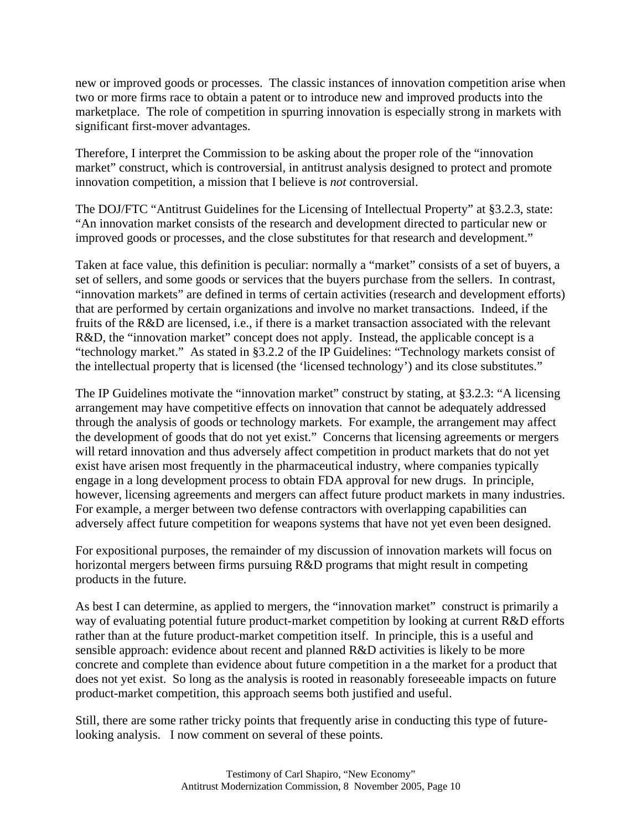new or improved goods or processes. The classic instances of innovation competition arise when two or more firms race to obtain a patent or to introduce new and improved products into the marketplace. The role of competition in spurring innovation is especially strong in markets with significant first-mover advantages.

Therefore, I interpret the Commission to be asking about the proper role of the "innovation market" construct, which is controversial, in antitrust analysis designed to protect and promote innovation competition, a mission that I believe is *not* controversial.

The DOJ/FTC "Antitrust Guidelines for the Licensing of Intellectual Property" at §3.2.3, state: "An innovation market consists of the research and development directed to particular new or improved goods or processes, and the close substitutes for that research and development."

Taken at face value, this definition is peculiar: normally a "market" consists of a set of buyers, a set of sellers, and some goods or services that the buyers purchase from the sellers. In contrast, "innovation markets" are defined in terms of certain activities (research and development efforts) that are performed by certain organizations and involve no market transactions. Indeed, if the fruits of the R&D are licensed, i.e., if there is a market transaction associated with the relevant R&D, the "innovation market" concept does not apply. Instead, the applicable concept is a "technology market." As stated in §3.2.2 of the IP Guidelines: "Technology markets consist of the intellectual property that is licensed (the 'licensed technology') and its close substitutes."

The IP Guidelines motivate the "innovation market" construct by stating, at §3.2.3: "A licensing arrangement may have competitive effects on innovation that cannot be adequately addressed through the analysis of goods or technology markets. For example, the arrangement may affect the development of goods that do not yet exist." Concerns that licensing agreements or mergers will retard innovation and thus adversely affect competition in product markets that do not yet exist have arisen most frequently in the pharmaceutical industry, where companies typically engage in a long development process to obtain FDA approval for new drugs. In principle, however, licensing agreements and mergers can affect future product markets in many industries. For example, a merger between two defense contractors with overlapping capabilities can adversely affect future competition for weapons systems that have not yet even been designed.

For expositional purposes, the remainder of my discussion of innovation markets will focus on horizontal mergers between firms pursuing R&D programs that might result in competing products in the future.

As best I can determine, as applied to mergers, the "innovation market" construct is primarily a way of evaluating potential future product-market competition by looking at current R&D efforts rather than at the future product-market competition itself. In principle, this is a useful and sensible approach: evidence about recent and planned R&D activities is likely to be more concrete and complete than evidence about future competition in a the market for a product that does not yet exist. So long as the analysis is rooted in reasonably foreseeable impacts on future product-market competition, this approach seems both justified and useful.

Still, there are some rather tricky points that frequently arise in conducting this type of futurelooking analysis. I now comment on several of these points.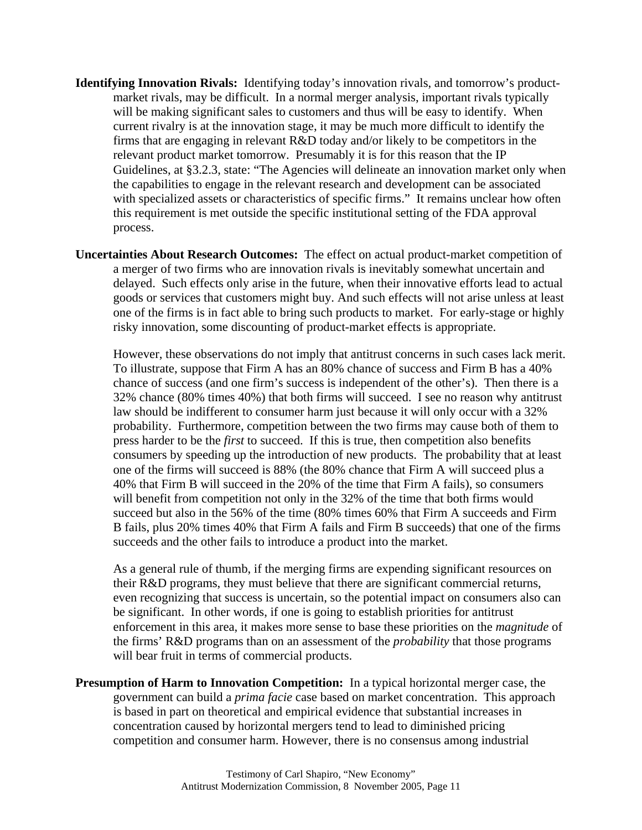- **Identifying Innovation Rivals:** Identifying today's innovation rivals, and tomorrow's productmarket rivals, may be difficult. In a normal merger analysis, important rivals typically will be making significant sales to customers and thus will be easy to identify. When current rivalry is at the innovation stage, it may be much more difficult to identify the firms that are engaging in relevant R&D today and/or likely to be competitors in the relevant product market tomorrow. Presumably it is for this reason that the IP Guidelines, at §3.2.3, state: "The Agencies will delineate an innovation market only when the capabilities to engage in the relevant research and development can be associated with specialized assets or characteristics of specific firms." It remains unclear how often this requirement is met outside the specific institutional setting of the FDA approval process.
- **Uncertainties About Research Outcomes:** The effect on actual product-market competition of a merger of two firms who are innovation rivals is inevitably somewhat uncertain and delayed. Such effects only arise in the future, when their innovative efforts lead to actual goods or services that customers might buy. And such effects will not arise unless at least one of the firms is in fact able to bring such products to market. For early-stage or highly risky innovation, some discounting of product-market effects is appropriate.

 However, these observations do not imply that antitrust concerns in such cases lack merit. To illustrate, suppose that Firm A has an 80% chance of success and Firm B has a 40% chance of success (and one firm's success is independent of the other's). Then there is a 32% chance (80% times 40%) that both firms will succeed. I see no reason why antitrust law should be indifferent to consumer harm just because it will only occur with a 32% probability. Furthermore, competition between the two firms may cause both of them to press harder to be the *first* to succeed. If this is true, then competition also benefits consumers by speeding up the introduction of new products. The probability that at least one of the firms will succeed is 88% (the 80% chance that Firm A will succeed plus a 40% that Firm B will succeed in the 20% of the time that Firm A fails), so consumers will benefit from competition not only in the 32% of the time that both firms would succeed but also in the 56% of the time (80% times 60% that Firm A succeeds and Firm B fails, plus 20% times 40% that Firm A fails and Firm B succeeds) that one of the firms succeeds and the other fails to introduce a product into the market.

 As a general rule of thumb, if the merging firms are expending significant resources on their R&D programs, they must believe that there are significant commercial returns, even recognizing that success is uncertain, so the potential impact on consumers also can be significant. In other words, if one is going to establish priorities for antitrust enforcement in this area, it makes more sense to base these priorities on the *magnitude* of the firms' R&D programs than on an assessment of the *probability* that those programs will bear fruit in terms of commercial products.

**Presumption of Harm to Innovation Competition:** In a typical horizontal merger case, the government can build a *prima facie* case based on market concentration. This approach is based in part on theoretical and empirical evidence that substantial increases in concentration caused by horizontal mergers tend to lead to diminished pricing competition and consumer harm. However, there is no consensus among industrial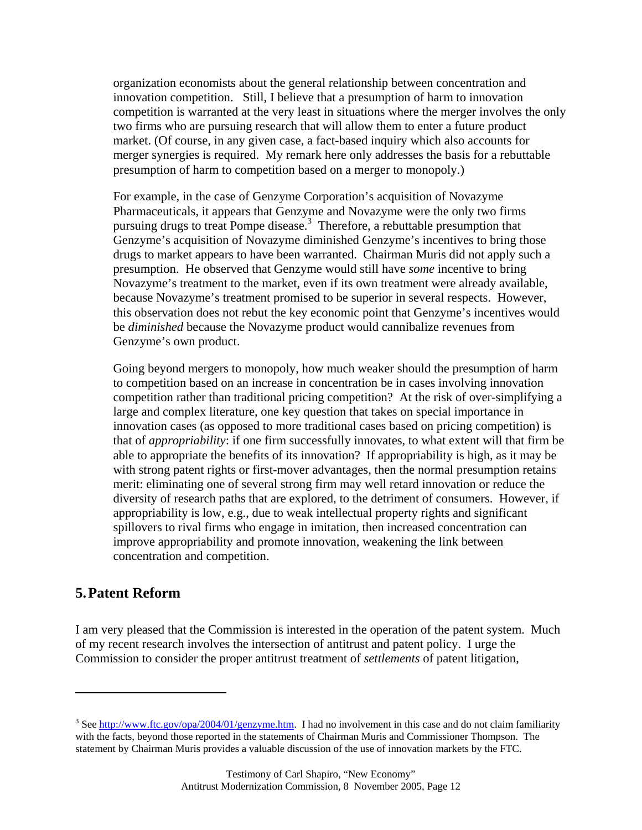organization economists about the general relationship between concentration and innovation competition. Still, I believe that a presumption of harm to innovation competition is warranted at the very least in situations where the merger involves the only two firms who are pursuing research that will allow them to enter a future product market. (Of course, in any given case, a fact-based inquiry which also accounts for merger synergies is required. My remark here only addresses the basis for a rebuttable presumption of harm to competition based on a merger to monopoly.)

 For example, in the case of Genzyme Corporation's acquisition of Novazyme Pharmaceuticals, it appears that Genzyme and Novazyme were the only two firms pursuing drugs to treat Pompe disease.<sup>3</sup> Therefore, a rebuttable presumption that Genzyme's acquisition of Novazyme diminished Genzyme's incentives to bring those drugs to market appears to have been warranted. Chairman Muris did not apply such a presumption. He observed that Genzyme would still have *some* incentive to bring Novazyme's treatment to the market, even if its own treatment were already available, because Novazyme's treatment promised to be superior in several respects. However, this observation does not rebut the key economic point that Genzyme's incentives would be *diminished* because the Novazyme product would cannibalize revenues from Genzyme's own product.

 Going beyond mergers to monopoly, how much weaker should the presumption of harm to competition based on an increase in concentration be in cases involving innovation competition rather than traditional pricing competition? At the risk of over-simplifying a large and complex literature, one key question that takes on special importance in innovation cases (as opposed to more traditional cases based on pricing competition) is that of *appropriability*: if one firm successfully innovates, to what extent will that firm be able to appropriate the benefits of its innovation? If appropriability is high, as it may be with strong patent rights or first-mover advantages, then the normal presumption retains merit: eliminating one of several strong firm may well retard innovation or reduce the diversity of research paths that are explored, to the detriment of consumers. However, if appropriability is low, e.g., due to weak intellectual property rights and significant spillovers to rival firms who engage in imitation, then increased concentration can improve appropriability and promote innovation, weakening the link between concentration and competition.

#### **5.Patent Reform**

 $\overline{a}$ 

I am very pleased that the Commission is interested in the operation of the patent system. Much of my recent research involves the intersection of antitrust and patent policy. I urge the Commission to consider the proper antitrust treatment of *settlements* of patent litigation,

<sup>&</sup>lt;sup>3</sup> See http://www.ftc.gov/opa/2004/01/genzyme.htm. I had no involvement in this case and do not claim familiarity with the facts, beyond those reported in the statements of Chairman Muris and Commissioner Thompson. The statement by Chairman Muris provides a valuable discussion of the use of innovation markets by the FTC.